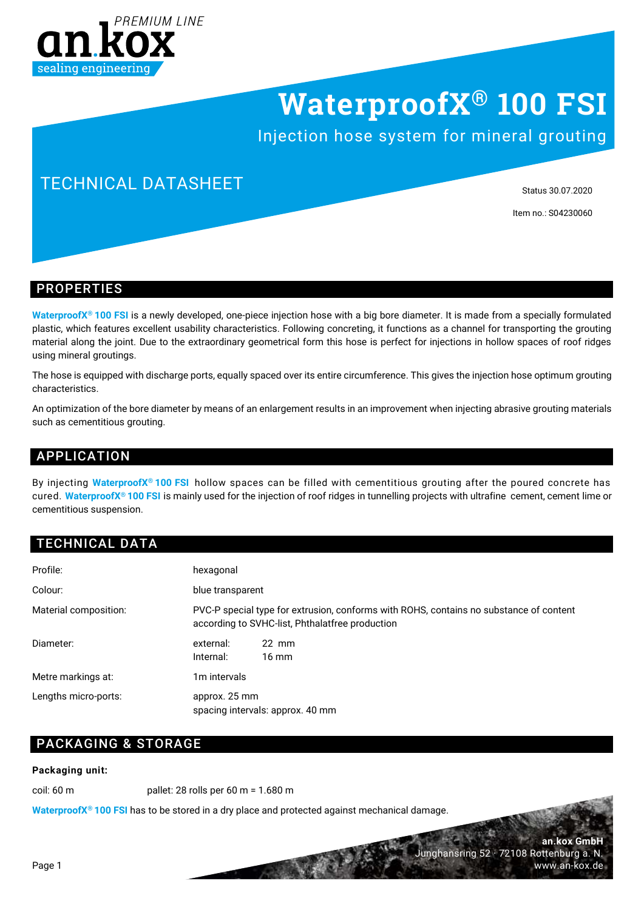

# **WaterproofX® 100 FSI**

Injection hose system for mineral grouting

## TECHNICAL DATASHEET

Status 30.07.2020

Item no.: S04230060

**an.kox GmbH**

www.an-kox.de

Junghansring 52 · 72108 Rottenburg a. N.

#### PROPERTIES

**WaterproofX® 100 FSI** is a newly developed, one-piece injection hose with a big bore diameter. It is made from a specially formulated plastic, which features excellent usability characteristics. Following concreting, it functions as a channel for transporting the grouting material along the joint. Due to the extraordinary geometrical form this hose is perfect for injections in hollow spaces of roof ridges using mineral groutings.

The hose is equipped with discharge ports, equally spaced over its entire circumference. This gives the injection hose optimum grouting characteristics.

An optimization of the bore diameter by means of an enlargement results in an improvement when injecting abrasive grouting materials such as cementitious grouting.

### APPLICATION

By injecting **WaterproofX® 100 FSI** hollow spaces can be filled with cementitious grouting after the poured concrete has cured. **WaterproofX® 100 FSI** is mainly used for the injection of roof ridges in tunnelling projects with ultrafine cement, cement lime or cementitious suspension.

### TECHNICAL DATA

| Profile:              | hexagonal                                                                                                                                 |
|-----------------------|-------------------------------------------------------------------------------------------------------------------------------------------|
| Colour:               | blue transparent                                                                                                                          |
| Material composition: | PVC-P special type for extrusion, conforms with ROHS, contains no substance of content<br>according to SVHC-list, Phthalatfree production |
| Diameter:             | external:<br>$22 \text{ mm}$<br>Internal:<br>$16 \text{ mm}$                                                                              |
| Metre markings at:    | 1 <sub>m</sub> intervals                                                                                                                  |
| Lengths micro-ports:  | approx. 25 mm<br>spacing intervals: approx. 40 mm                                                                                         |

### PACKAGING & STORAGE

#### **Packaging unit:**

coil: 60 m pallet: 28 rolls per 60 m = 1.680 m

**WaterproofX® 100 FSI** has to be stored in a dry place and protected against mechanical damage.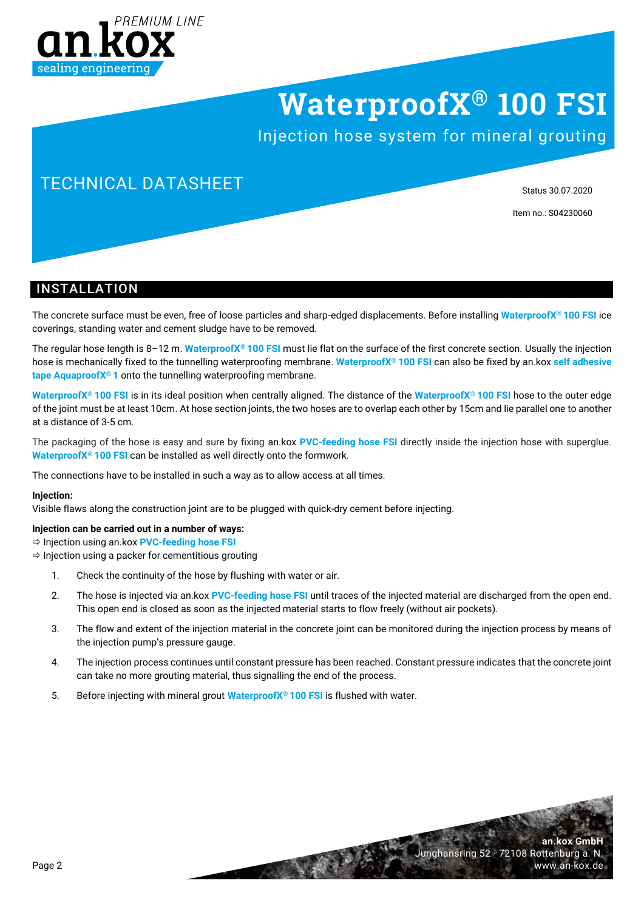

# **WaterproofX® 100 FSI**

Injection hose system for mineral grouting

## TECHNICAL DATASHEET

Status 30.07.2020

**an.kox GmbH**

www.an-kox.de

Junghansring 52 · 72108 Rottenburg a. N.

Item no.: S04230060

### **INSTALLATION**

The concrete surface must be even, free of loose particles and sharp-edged displacements. Before installing **WaterproofX® 100 FSI** ice coverings, standing water and cement sludge have to be removed.

The regular hose length is 8–12 m. **WaterproofX® 100 FSI** must lie flat on the surface of the first concrete section. Usually the injection hose is mechanically fixed to the tunnelling waterproofing membrane. **WaterproofX® 100 FSI** can also be fixed by an.kox **self adhesive tape AquaproofX® 1** onto the tunnelling waterproofing membrane.

**WaterproofX® 100 FSI** is in its ideal position when centrally aligned. The distance of the **WaterproofX® 100 FSI** hose to the outer edge of the joint must be at least 10cm. At hose section joints, the two hoses are to overlap each other by 15cm and lie parallel one to another at a distance of 3-5 cm.

The packaging of the hose is easy and sure by fixing an.kox **PVC-feeding hose FSI** directly inside the injection hose with superglue. **WaterproofX® 100 FSI** can be installed as well directly onto the formwork.

The connections have to be installed in such a way as to allow access at all times.

#### **Injection:**

Visible flaws along the construction joint are to be plugged with quick-dry cement before injecting.

**Injection can be carried out in a number of ways:**

Injection using an.kox **PVC-feeding hose FSI**

 $\Rightarrow$  Injection using a packer for cementitious grouting

- 1. Check the continuity of the hose by flushing with water or air.
- 2. The hose is injected via an.kox **PVC-feeding hose FSI** until traces of the injected material are discharged from the open end. This open end is closed as soon as the injected material starts to flow freely (without air pockets).
- 3. The flow and extent of the injection material in the concrete joint can be monitored during the injection process by means of the injection pump's pressure gauge.
- 4. The injection process continues until constant pressure has been reached. Constant pressure indicates that the concrete joint can take no more grouting material, thus signalling the end of the process.
- 5. Before injecting with mineral grout **WaterproofX® 100 FSI** is flushed with water.